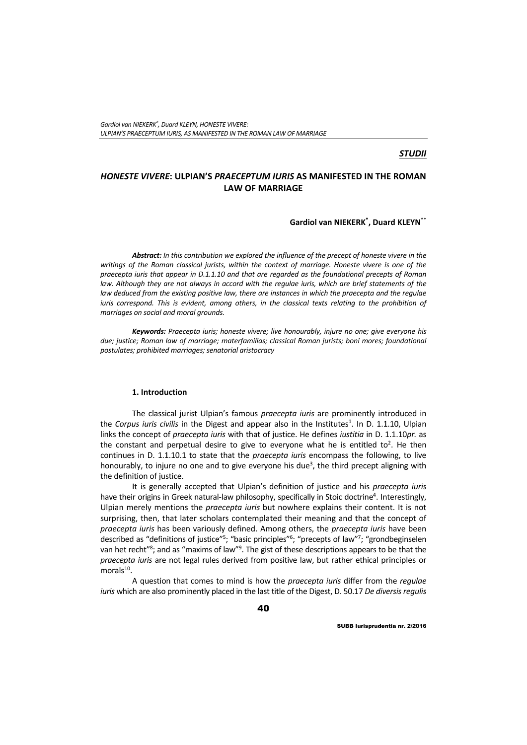# *STUDII*

# *HONESTE VIVERE***: ULPIAN'S** *PRAECEPTUM IURIS* **AS MANIFESTED IN THE ROMAN LAW OF MARRIAGE**

# **Gardiol van NIEKERK\* , Duard KLEYN**\*\*

*Abstract: In this contribution we explored the influence of the precept of honeste vivere in the writings of the Roman classical jurists, within the context of marriage. Honeste vivere is one of the praecepta iuris that appear in D.1.1.10 and that are regarded as the foundational precepts of Roman*  law. Although they are not always in accord with the regulae iuris, which are brief statements of the *law deduced from the existing positive law, there are instances in which the praecepta and the regulae iuris correspond. This is evident, among others, in the classical texts relating to the prohibition of marriages on social and moral grounds.* 

*Keywords: Praecepta iuris; honeste vivere; live honourably, injure no one; give everyone his due; justice; Roman law of marriage; materfamilias; classical Roman jurists; boni mores; foundational postulates; prohibited marriages; senatorial aristocracy* 

### **1. Introduction**

The classical jurist Ulpian's famous *praecepta iuris* are prominently introduced in the Corpus iuris civilis in the Digest and appear also in the Institutes<sup>1</sup>. In D. 1.1.10, Ulpian links the concept of *praecepta iuris* with that of justice. He defines *iustitia* in D. 1.1.10*pr.* as the constant and perpetual desire to give to everyone what he is entitled to<sup>2</sup>. He then continues in D. 1.1.10.1 to state that the *praecepta iuris* encompass the following, to live honourably, to injure no one and to give everyone his due<sup>3</sup>, the third precept aligning with the definition of justice.

It is generally accepted that Ulpian's definition of justice and his *praecepta iuris* have their origins in Greek natural-law philosophy, specifically in Stoic doctrine<sup>4</sup>. Interestingly, Ulpian merely mentions the *praecepta iuris* but nowhere explains their content. It is not surprising, then, that later scholars contemplated their meaning and that the concept of *praecepta iuris* has been variously defined. Among others, the *praecepta iuris* have been described as "definitions of justice"<sup>5</sup>; "basic principles"<sup>6</sup>; "precepts of law"<sup>7</sup>; "grondbeginselen van het recht"<sup>8</sup>; and as "maxims of law"<sup>9</sup>. The gist of these descriptions appears to be that the *praecepta iuris* are not legal rules derived from positive law, but rather ethical principles or morals<sup>10</sup>.

A question that comes to mind is how the *praecepta iuris* differ from the *regulae iuris* which are also prominently placed in the last title of the Digest, D. 50.17 *De diversis regulis*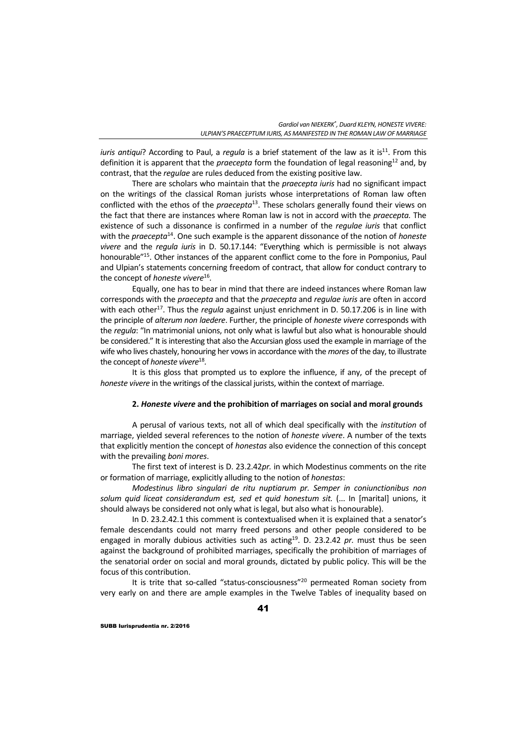*iuris antiqui*? According to Paul, a *regula* is a brief statement of the law as it is<sup>11</sup>. From this definition it is apparent that the *praecepta* form the foundation of legal reasoning<sup>12</sup> and, by contrast, that the *regulae* are rules deduced from the existing positive law.

There are scholars who maintain that the *praecepta iuris* had no significant impact on the writings of the classical Roman jurists whose interpretations of Roman law often conflicted with the ethos of the *praecepta*13. These scholars generally found their views on the fact that there are instances where Roman law is not in accord with the *praecepta.* The existence of such a dissonance is confirmed in a number of the *regulae iuris* that conflict with the *praecepta*14. One such example is the apparent dissonance of the notion of *honeste vivere* and the *regula iuris* in D. 50.17.144: "Everything which is permissible is not always honourable"15. Other instances of the apparent conflict come to the fore in Pomponius, Paul and Ulpian's statements concerning freedom of contract, that allow for conduct contrary to the concept of *honeste vivere*<sup>16</sup>*.*

Equally, one has to bear in mind that there are indeed instances where Roman law corresponds with the *praecepta* and that the *praecepta* and *regulae iuris* are often in accord with each other<sup>17</sup>. Thus the *regula* against unjust enrichment in D. 50.17.206 is in line with the principle of *alterum non laedere*. Further, the principle of *honeste vivere* corresponds with the *regula*: "In matrimonial unions, not only what is lawful but also what is honourable should be considered." It is interesting that also the Accursian gloss used the example in marriage of the wife who lives chastely, honouring her vows in accordance with the *mores* of the day, to illustrate the concept of *honeste vivere*<sup>18</sup>*.*

It is this gloss that prompted us to explore the influence, if any, of the precept of *honeste vivere* in the writings of the classical jurists, within the context of marriage.

### **2.** *Honeste vivere* **and the prohibition of marriages on social and moral grounds**

A perusal of various texts, not all of which deal specifically with the *institution* of marriage, yielded several references to the notion of *honeste vivere*. A number of the texts that explicitly mention the concept of *honestas* also evidence the connection of this concept with the prevailing *boni mores*.

The first text of interest is D. 23.2.42*pr.* in which Modestinus comments on the rite or formation of marriage, explicitly alluding to the notion of *honestas*:

*Modestinus libro singulari de ritu nuptiarum pr. Semper in coniunctionibus non solum quid liceat considerandum est, sed et quid honestum sit.* (... In [marital] unions, it should always be considered not only what is legal, but also what is honourable).

In D. 23.2.42.1 this comment is contextualised when it is explained that a senator's female descendants could not marry freed persons and other people considered to be engaged in morally dubious activities such as acting<sup>19</sup>. D. 23.2.42 *pr.* must thus be seen against the background of prohibited marriages, specifically the prohibition of marriages of the senatorial order on social and moral grounds, dictated by public policy. This will be the focus of this contribution.

It is trite that so-called "status-consciousness"<sup>20</sup> permeated Roman society from very early on and there are ample examples in the Twelve Tables of inequality based on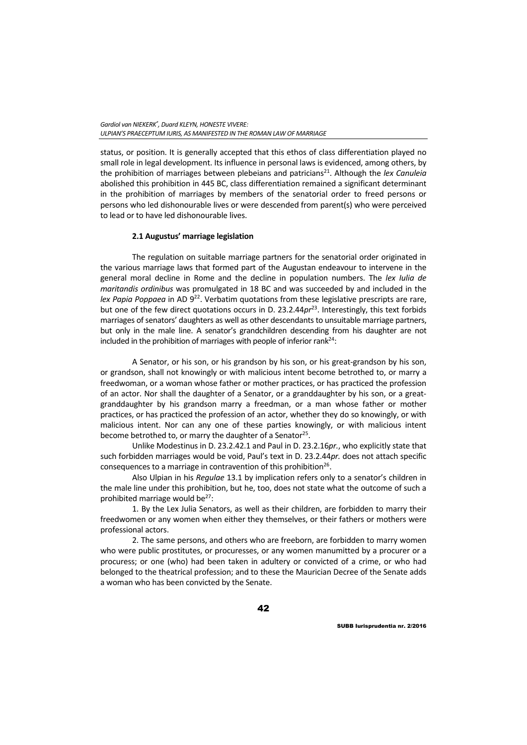status, or position. It is generally accepted that this ethos of class differentiation played no small role in legal development. Its influence in personal laws is evidenced, among others, by the prohibition of marriages between plebeians and patricians<sup>21</sup>. Although the lex Canuleia abolished this prohibition in 445 BC, class differentiation remained a significant determinant in the prohibition of marriages by members of the senatorial order to freed persons or persons who led dishonourable lives or were descended from parent(s) who were perceived to lead or to have led dishonourable lives.

## **2.1 Augustus' marriage legislation**

The regulation on suitable marriage partners for the senatorial order originated in the various marriage laws that formed part of the Augustan endeavour to intervene in the general moral decline in Rome and the decline in population numbers. The *lex Iulia de maritandis ordinibus* was promulgated in 18 BC and was succeeded by and included in the *lex Papia Poppaea* in AD 9<sup>22</sup>. Verbatim quotations from these legislative prescripts are rare, but one of the few direct quotations occurs in D. 23.2.44pr<sup>23</sup>. Interestingly, this text forbids marriages of senators' daughters as well as other descendants to unsuitable marriage partners, but only in the male line. A senator's grandchildren descending from his daughter are not included in the prohibition of marriages with people of inferior rank $^{24}$ :

A Senator, or his son, or his grandson by his son, or his great-grandson by his son, or grandson, shall not knowingly or with malicious intent become betrothed to, or marry a freedwoman, or a woman whose father or mother practices, or has practiced the profession of an actor. Nor shall the daughter of a Senator, or a granddaughter by his son, or a greatgranddaughter by his grandson marry a freedman, or a man whose father or mother practices, or has practiced the profession of an actor, whether they do so knowingly, or with malicious intent. Nor can any one of these parties knowingly, or with malicious intent become betrothed to, or marry the daughter of a Senator<sup>25</sup>.

Unlike Modestinus in D. 23.2.42.1 and Paul in D. 23.2.16*pr.*, who explicitly state that such forbidden marriages would be void, Paul's text in D. 23.2.44*pr.* does not attach specific consequences to a marriage in contravention of this prohibition<sup>26</sup>.

Also Ulpian in his *Regulae* 13.1 by implication refers only to a senator's children in the male line under this prohibition, but he, too, does not state what the outcome of such a prohibited marriage would be $27$ :

1. By the Lex Julia Senators, as well as their children, are forbidden to marry their freedwomen or any women when either they themselves, or their fathers or mothers were professional actors.

2. The same persons, and others who are freeborn, are forbidden to marry women who were public prostitutes, or procuresses, or any women manumitted by a procurer or a procuress; or one (who) had been taken in adultery or convicted of a crime, or who had belonged to the theatrical profession; and to these the Maurician Decree of the Senate adds a woman who has been convicted by the Senate.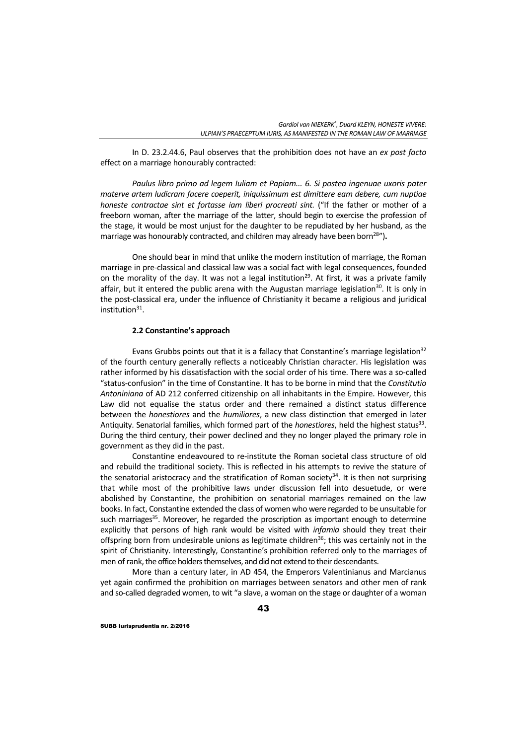In D. 23.2.44.6, Paul observes that the prohibition does not have an *ex post facto* effect on a marriage honourably contracted:

*Paulus libro primo ad legem Iuliam et Papiam... 6. Si postea ingenuae uxoris pater materve artem ludicram facere coeperit, iniquissimum est dimittere eam debere, cum nuptiae honeste contractae sint et fortasse iam liberi procreati sint.* ("If the father or mother of a freeborn woman, after the marriage of the latter, should begin to exercise the profession of the stage, it would be most unjust for the daughter to be repudiated by her husband, as the marriage was honourably contracted, and children may already have been born<sup>28</sup>").

One should bear in mind that unlike the modern institution of marriage, the Roman marriage in pre-classical and classical law was a social fact with legal consequences, founded on the morality of the day. It was not a legal institution<sup>29</sup>. At first, it was a private family affair, but it entered the public arena with the Augustan marriage legislation<sup>30</sup>. It is only in the post-classical era, under the influence of Christianity it became a religious and juridical  $institution<sup>31</sup>$ .

#### **2.2 Constantine's approach**

Evans Grubbs points out that it is a fallacy that Constantine's marriage legislation<sup>32</sup> of the fourth century generally reflects a noticeably Christian character. His legislation was rather informed by his dissatisfaction with the social order of his time. There was a so-called "status-confusion" in the time of Constantine. It has to be borne in mind that the *Constitutio Antoniniana* of AD 212 conferred citizenship on all inhabitants in the Empire. However, this Law did not equalise the status order and there remained a distinct status difference between the *honestiores* and the *humiliores*, a new class distinction that emerged in later Antiquity. Senatorial families, which formed part of the *honestiores*, held the highest status33. During the third century, their power declined and they no longer played the primary role in government as they did in the past.

Constantine endeavoured to re-institute the Roman societal class structure of old and rebuild the traditional society. This is reflected in his attempts to revive the stature of the senatorial aristocracy and the stratification of Roman society $34$ . It is then not surprising that while most of the prohibitive laws under discussion fell into desuetude, or were abolished by Constantine, the prohibition on senatorial marriages remained on the law books. In fact, Constantine extended the class of women who were regarded to be unsuitable for such marriages<sup>35</sup>. Moreover, he regarded the proscription as important enough to determine explicitly that persons of high rank would be visited with *infamia* should they treat their offspring born from undesirable unions as legitimate children<sup>36</sup>; this was certainly not in the spirit of Christianity. Interestingly, Constantine's prohibition referred only to the marriages of men of rank, the office holders themselves, and did not extend to their descendants.

More than a century later, in AD 454, the Emperors Valentinianus and Marcianus yet again confirmed the prohibition on marriages between senators and other men of rank and so-called degraded women, to wit "a slave, a woman on the stage or daughter of a woman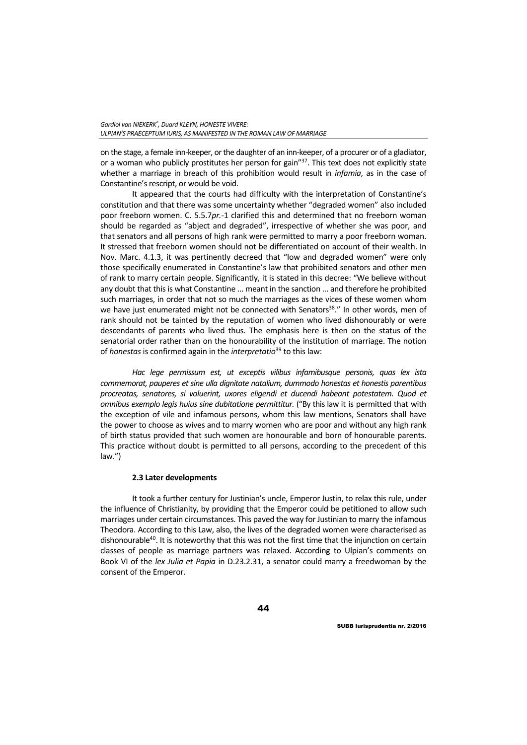on the stage, a female inn-keeper, or the daughter of an inn-keeper, of a procurer or of a gladiator, or a woman who publicly prostitutes her person for gain"<sup>37</sup>. This text does not explicitly state whether a marriage in breach of this prohibition would result in *infamia*, as in the case of Constantine's rescript, or would be void.

It appeared that the courts had difficulty with the interpretation of Constantine's constitution and that there was some uncertainty whether "degraded women" also included poor freeborn women. C. 5.5.7*pr.*-1 clarified this and determined that no freeborn woman should be regarded as "abject and degraded", irrespective of whether she was poor, and that senators and all persons of high rank were permitted to marry a poor freeborn woman. It stressed that freeborn women should not be differentiated on account of their wealth. In Nov. Marc. 4.1.3, it was pertinently decreed that "low and degraded women" were only those specifically enumerated in Constantine's law that prohibited senators and other men of rank to marry certain people. Significantly, it is stated in this decree: "We believe without any doubt that this is what Constantine ... meant in the sanction ... and therefore he prohibited such marriages, in order that not so much the marriages as the vices of these women whom we have just enumerated might not be connected with Senators<sup>38</sup>." In other words, men of rank should not be tainted by the reputation of women who lived dishonourably or were descendants of parents who lived thus. The emphasis here is then on the status of the senatorial order rather than on the honourability of the institution of marriage. The notion of *honestas* is confirmed again in the *interpretatio*39 to this law:

*Hac lege permissum est, ut exceptis vilibus infamibusque personis, quas lex ista commemorat, pauperes et sine ulla dignitate natalium, dummodo honestas et honestis parentibus procreatas, senatores, si voluerint, uxores eligendi et ducendi habeant potestatem. Quod et omnibus exemplo legis huius sine dubitatione permittitur.* ("By this law it is permitted that with the exception of vile and infamous persons, whom this law mentions, Senators shall have the power to choose as wives and to marry women who are poor and without any high rank of birth status provided that such women are honourable and born of honourable parents. This practice without doubt is permitted to all persons, according to the precedent of this law.")

# **2.3 Later developments**

It took a further century for Justinian's uncle, Emperor Justin, to relax this rule, under the influence of Christianity, by providing that the Emperor could be petitioned to allow such marriages under certain circumstances. This paved the way for Justinian to marry the infamous Theodora. According to this Law, also, the lives of the degraded women were characterised as dishonourable<sup>40</sup>. It is noteworthy that this was not the first time that the injunction on certain classes of people as marriage partners was relaxed. According to Ulpian's comments on Book VI of the *lex Julia et Papia* in D.23.2.31, a senator could marry a freedwoman by the consent of the Emperor.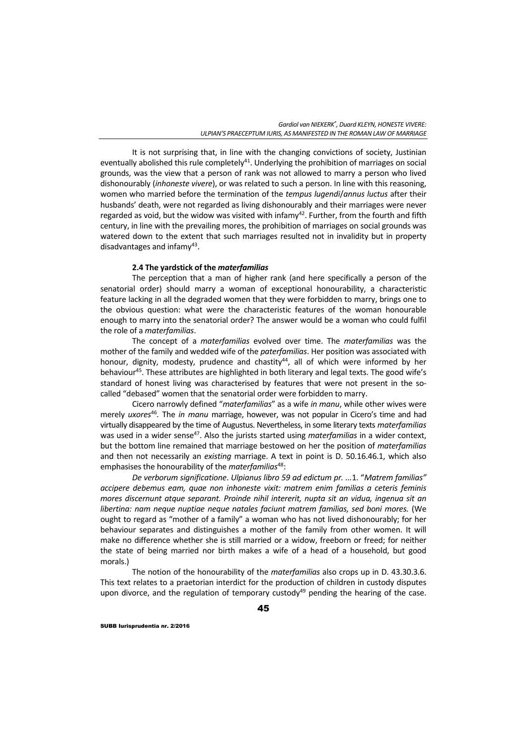It is not surprising that, in line with the changing convictions of society, Justinian eventually abolished this rule completely<sup>41</sup>. Underlying the prohibition of marriages on social grounds, was the view that a person of rank was not allowed to marry a person who lived dishonourably (*inhoneste vivere*), or was related to such a person. In line with this reasoning, women who married before the termination of the *tempus lugendi*/*annus luctus* after their husbands' death, were not regarded as living dishonourably and their marriages were never regarded as void, but the widow was visited with infamy<sup>42</sup>. Further, from the fourth and fifth century, in line with the prevailing mores, the prohibition of marriages on social grounds was watered down to the extent that such marriages resulted not in invalidity but in property disadvantages and infamy<sup>43</sup>.

### **2.4 The yardstick of the** *materfamilias*

The perception that a man of higher rank (and here specifically a person of the senatorial order) should marry a woman of exceptional honourability, a characteristic feature lacking in all the degraded women that they were forbidden to marry, brings one to the obvious question: what were the characteristic features of the woman honourable enough to marry into the senatorial order? The answer would be a woman who could fulfil the role of a *materfamilias*.

The concept of a *materfamilias* evolved over time. The *materfamilias* was the mother of the family and wedded wife of the *paterfamilias*. Her position was associated with honour, dignity, modesty, prudence and chastity $44$ , all of which were informed by her behaviour<sup>45</sup>. These attributes are highlighted in both literary and legal texts. The good wife's standard of honest living was characterised by features that were not present in the socalled "debased" women that the senatorial order were forbidden to marry.

Cicero narrowly defined "*materfamilias*" as a wife *in manu*, while other wives were merely *uxores*<sup>46</sup>*.* The *in manu* marriage, however, was not popular in Cicero's time and had virtually disappeared by the time of Augustus. Nevertheless, in some literary texts *materfamilias* was used in a wider sense<sup>47</sup>. Also the jurists started using *materfamilias* in a wider context, but the bottom line remained that marriage bestowed on her the position of *materfamilias* and then not necessarily an *existing* marriage. A text in point is D. 50.16.46.1, which also emphasises the honourability of the *materfamilias*48:

*De verborum significatione*. *Ulpianus libro 59 ad edictum pr. ...*1. "*Matrem familias" accipere debemus eam, quae non inhoneste vixit: matrem enim familias a ceteris feminis mores discernunt atque separant. Proinde nihil intererit, nupta sit an vidua, ingenua sit an libertina: nam neque nuptiae neque natales faciunt matrem familias, sed boni mores.* (We ought to regard as "mother of a family" a woman who has not lived dishonourably; for her behaviour separates and distinguishes a mother of the family from other women. It will make no difference whether she is still married or a widow, freeborn or freed; for neither the state of being married nor birth makes a wife of a head of a household, but good morals.)

The notion of the honourability of the *materfamilias* also crops up in D. 43.30.3.6. This text relates to a praetorian interdict for the production of children in custody disputes upon divorce, and the regulation of temporary custody<sup>49</sup> pending the hearing of the case.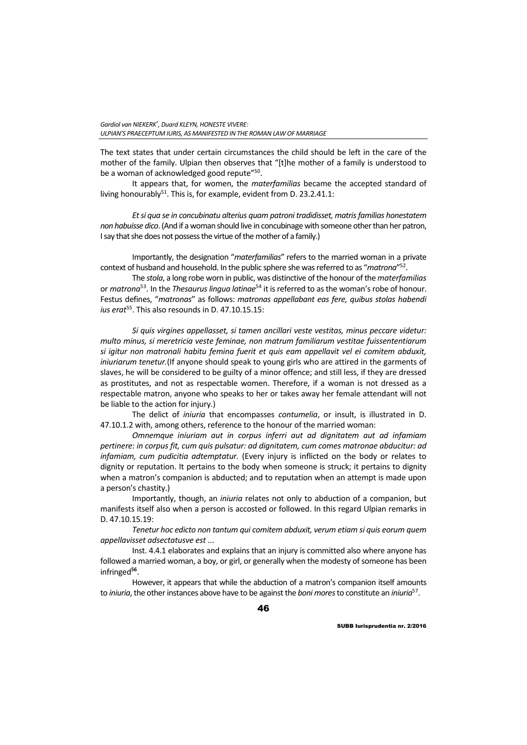The text states that under certain circumstances the child should be left in the care of the mother of the family. Ulpian then observes that "[t]he mother of a family is understood to be a woman of acknowledged good repute"<sup>50</sup>.

It appears that, for women, the *materfamilias* became the accepted standard of living honourably<sup>51</sup>. This is, for example, evident from D. 23.2.41.1:

*Et si qua se in concubinatu alterius quam patroni tradidisset, matris familias honestatem non habuisse dico*. (And if a woman should live in concubinage with someone other than her patron, I say that she does not possess the virtue of the mother of a family.)

Importantly, the designation "*materfamilias*" refers to the married woman in a private context of husband and household. In the public sphere she was referred to as "*matrona*"52.

The *stola*, a long robe worn in public, was distinctive of the honour of the *materfamilias* or *matrona*<sup>53</sup>. In the *Thesaurus lingua latinae*<sup>54</sup> it is referred to as the woman's robe of honour. Festus defines, "*matronas*" as follows: *matronas appellabant eas fere, quibus stolas habendi*  ius erat<sup>55</sup>. This also resounds in D. 47.10.15.15:

*Si quis virgines appellasset, si tamen ancillari veste vestitas, minus peccare videtur: multo minus, si meretricia veste feminae, non matrum familiarum vestitae fuissententiarum si igitur non matronali habitu femina fuerit et quis eam appellavit vel ei comitem abduxit, iniuriarum tenetur.*(If anyone should speak to young girls who are attired in the garments of slaves, he will be considered to be guilty of a minor offence; and still less, if they are dressed as prostitutes, and not as respectable women. Therefore, if a woman is not dressed as a respectable matron, anyone who speaks to her or takes away her female attendant will not be liable to the action for injury.)

The delict of *iniuria* that encompasses *contumelia*, or insult, is illustrated in D. 47.10.1.2 with, among others, reference to the honour of the married woman:

*Omnemque iniuriam aut in corpus inferri aut ad dignitatem aut ad infamiam pertinere: in corpus fit, cum quis pulsatur: ad dignitatem, cum comes matronae abducitur: ad infamiam, cum pudicitia adtemptatur.* (Every injury is inflicted on the body or relates to dignity or reputation. It pertains to the body when someone is struck; it pertains to dignity when a matron's companion is abducted; and to reputation when an attempt is made upon a person's chastity.)

Importantly, though, an *iniuria* relates not only to abduction of a companion, but manifests itself also when a person is accosted or followed. In this regard Ulpian remarks in D. 47.10.15.19:

*Tenetur hoc edicto non tantum qui comitem abduxit, verum etiam si quis eorum quem appellavisset adsectatusve est* ...

Inst. 4.4.1 elaborates and explains that an injury is committed also where anyone has followed a married woman, a boy, or girl, or generally when the modesty of someone has been infringed**<sup>56</sup>**.

However, it appears that while the abduction of a matron's companion itself amounts to *iniuria*, the other instances above have to be against the *boni mores* to constitute an *iniuria*57.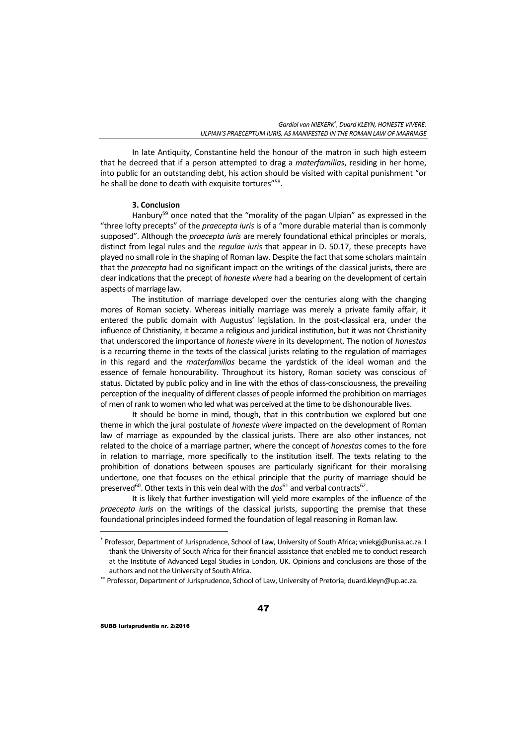In late Antiquity, Constantine held the honour of the matron in such high esteem that he decreed that if a person attempted to drag a *materfamilias*, residing in her home, into public for an outstanding debt, his action should be visited with capital punishment "or he shall be done to death with exquisite tortures<sup>"58</sup>.

## **3. Conclusion**

Hanbury<sup>59</sup> once noted that the "morality of the pagan Ulpian" as expressed in the "three lofty precepts" of the *praecepta iuris* is of a "more durable material than is commonly supposed". Although the *praecepta iuris* are merely foundational ethical principles or morals, distinct from legal rules and the *regulae iuris* that appear in D. 50.17, these precepts have played no small role in the shaping of Roman law. Despite the fact that some scholars maintain that the *praecepta* had no significant impact on the writings of the classical jurists, there are clear indications that the precept of *honeste vivere* had a bearing on the development of certain aspects of marriage law.

The institution of marriage developed over the centuries along with the changing mores of Roman society. Whereas initially marriage was merely a private family affair, it entered the public domain with Augustus' legislation. In the post-classical era, under the influence of Christianity, it became a religious and juridical institution, but it was not Christianity that underscored the importance of *honeste vivere* in its development. The notion of *honestas* is a recurring theme in the texts of the classical jurists relating to the regulation of marriages in this regard and the *materfamilias* became the yardstick of the ideal woman and the essence of female honourability. Throughout its history, Roman society was conscious of status. Dictated by public policy and in line with the ethos of class-consciousness, the prevailing perception of the inequality of different classes of people informed the prohibition on marriages of men of rank to women who led what was perceived at the time to be dishonourable lives.

It should be borne in mind, though, that in this contribution we explored but one theme in which the jural postulate of *honeste vivere* impacted on the development of Roman law of marriage as expounded by the classical jurists. There are also other instances, not related to the choice of a marriage partner, where the concept of *honestas* comes to the fore in relation to marriage, more specifically to the institution itself. The texts relating to the prohibition of donations between spouses are particularly significant for their moralising undertone, one that focuses on the ethical principle that the purity of marriage should be preserved<sup>60</sup>. Other texts in this vein deal with the  $dos^{61}$  and verbal contracts<sup>62</sup>.

It is likely that further investigation will yield more examples of the influence of the *praecepta iuris* on the writings of the classical jurists, supporting the premise that these foundational principles indeed formed the foundation of legal reasoning in Roman law.

 $\overline{a}$ 

<sup>\*</sup> Professor, Department of Jurisprudence, School of Law, University of South Africa; vniekgj@unisa.ac.za. I thank the University of South Africa for their financial assistance that enabled me to conduct research at the Institute of Advanced Legal Studies in London, UK. Opinions and conclusions are those of the authors and not the University of South Africa.<br>\*\* Professor, Department of Jurisprudence, School of Law, University of Pretoria; duard.kleyn@up.ac.za.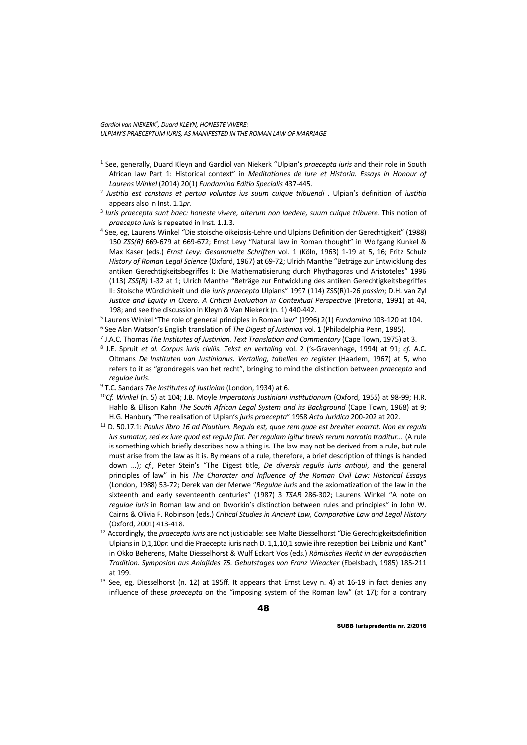$\overline{a}$ 

- 1 See, generally, Duard Kleyn and Gardiol van Niekerk "Ulpian's *praecepta iuris* and their role in South African law Part 1: Historical context" in *Meditationes de Iure et Historia. Essays in Honour of Laurens Winkel* (2014) 20(1) *Fundamina Editio Specialis* 437-445. 2 *Justitia est constans et pertua voluntas ius suum cuique tribuendi* . Ulpian's definition of *iustitia*
- appears also in Inst. 1.1*pr.*
- <sup>3</sup> *Iuris praecepta sunt haec: honeste vivere, alterum non laedere, suum cuique tribuere.* This notion of
- *praecepta iuris* is repeated in Inst. 1.1.3. 4 See, eg, Laurens Winkel "Die stoische oikeiosis-Lehre und Ulpians Definition der Gerechtigkeit" (1988) 150 *ZSS(R)* 669-679 at 669-672; Ernst Levy "Natural law in Roman thought" in Wolfgang Kunkel & Max Kaser (eds.) *Ernst Levy: Gesammelte Schriften* vol. 1 (Köln, 1963) 1-19 at 5, 16; Fritz Schulz *History of Roman Legal Science* (Oxford, 1967) at 69-72; Ulrich Manthe "Beträge zur Entwicklung des antiken Gerechtigkeitsbegriffes I: Die Mathematisierung durch Phythagoras und Aristoteles" 1996 (113) *ZSS(R)* 1-32 at 1; Ulrich Manthe "Beträge zur Entwicklung des antiken Gerechtigkeitsbegriffes II: Stoische Würdichkeit und die *iuris praecepta* Ulpians" 1997 (114) ZSS(R)1-26 *passim*; D.H. van Zyl *Justice and Equity in Cicero. A Critical Evaluation in Contextual Perspective* (Pretoria, 1991) at 44, 198; and see the discussion in Kleyn & Van Niekerk (n. 1) 440-442.<br>
<sup>5</sup> Laurens Winkel "The role of general principles in Roman law" (1996) 2(1) *Fundamina* 103-120 at 104.<br>
<sup>6</sup> See Alan Watson's English translation of *T*
- 
- 
- 
- Oltmans *De Instituten van Justinianus. Vertaling, tabellen en register* (Haarlem, 1967) at 5, who refers to it as "grondregels van het recht", bringing to mind the distinction between *praecepta* and *egulae iuris.*<br><sup>9</sup> T.C. Sandars *The Institutes of Justinian* (London, 1934) at 6.<br><sup>10</sup>Cf. *Winkel* (n. 5) at 104; J.B. Moyle *Imperatoris Justiniani institutionum (Oxford, 1955) at 98-99; H.R.*
- 
- Hahlo & Ellison Kahn *The South African Legal System and its Background* (Cape Town, 1968) at 9; H.G. Hanbury "The realisation of Ulpian's *juris praecepta*" 1958 *Acta Juridica* 200-202 at 202. 11 D. 50.17.1: *Paulus libro 16 ad Plautium. Regula est, quae rem quae est breviter enarrat. Non ex regula*
- *ius sumatur, sed ex iure quod est regula fiat. Per regulam igitur brevis rerum narratio traditur...* (A rule is something which briefly describes how a thing is. The law may not be derived from a rule, but rule must arise from the law as it is. By means of a rule, therefore, a brief description of things is handed down ...); *cf.*, Peter Stein's "The Digest title, *De diversis regulis iuris antiqui*, and the general principles of law" in his *The Character and Influence of the Roman Civil Law: Historical Essays* (London, 1988) 53-72; Derek van der Merwe "*Regulae iuris* and the axiomatization of the law in the sixteenth and early seventeenth centuries" (1987) 3 *TSAR* 286-302; Laurens Winkel "A note on *regulae iuris* in Roman law and on Dworkin's distinction between rules and principles" in John W. Cairns & Olivia F. Robinson (eds.) *Critical Studies in Ancient Law, Comparative Law and Legal History*
- (Oxford, 2001) 413-418. 12 Accordingly, the *praecepta iuris* are not justiciable: see Malte Diesselhorst "Die Gerechtigkeitsdefinition Ulpians in D,1,10*pr.* und die Praecepta iuris nach D. 1,1,10,1 sowie ihre rezeption bei Leibniz und Kant" in Okko Beherens, Malte Diesselhorst & Wulf Eckart Vos (eds.) *Römisches Recht in der europäischen Tradition. Symposion aus Anlaßdes 75. Gebutstages von Franz Wieacker* (Ebelsbach, 1985) 185-211
- at 199.<br><sup>13</sup> See, eg, Diesselhorst (n. 12) at 195ff. It appears that Ernst Levy n. 4) at 16-19 in fact denies any influence of these *praecepta* on the "imposing system of the Roman law" (at 17); for a contrary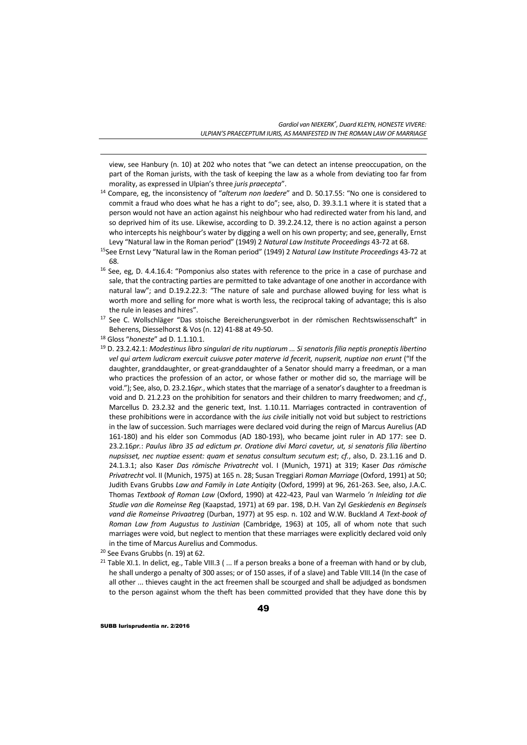view, see Hanbury (n. 10) at 202 who notes that "we can detect an intense preoccupation, on the part of the Roman jurists, with the task of keeping the law as a whole from deviating too far from morality, as expressed in Ulpian's three *juris praecepta*".

- 14 Compare, eg, the inconsistency of "*alterum non laedere*" and D. 50.17.55: "No one is considered to commit a fraud who does what he has a right to do"; see, also, D. 39.3.1.1 where it is stated that a person would not have an action against his neighbour who had redirected water from his land, and so deprived him of its use. Likewise, according to D. 39.2.24.12, there is no action against a person who intercepts his neighbour's water by digging a well on his own property; and see, generally, Ernst
- Levy "Natural law in the Roman period" (1949) 2 *Natural Law Institute Proceedings* 43-72 at 68. 15See Ernst Levy "Natural law in the Roman period" (1949) 2 *Natural Law Institute Proceedings* 43-72 at
- 68.<br><sup>16</sup> See, eg, D. 4.4.16.4: "Pomponius also states with reference to the price in a case of purchase and sale, that the contracting parties are permitted to take advantage of one another in accordance with natural law"; and D.19.2.22.3: "The nature of sale and purchase allowed buying for less what is worth more and selling for more what is worth less, the reciprocal taking of advantage; this is also
- the rule in leases and hires". 17 See C. Wollschläger "Das stoische Bereicherungsverbot in der römischen Rechtswissenschaft" in
- 

 $\overline{a}$ 

- Beherens, Diesselhorst & Vos (n. 12) 41-88 at 49-50.<br><sup>18</sup> Gloss "*honeste*" ad D. 1.1.10.1.<br><sup>19</sup> D. 23.2.42.1: *Modestinus libro singulari de ritu nuptiarum ... Si senatoris filia neptis proneptis libertino vel qui artem ludicram exercuit cuiusve pater materve id fecerit, nupserit, nuptiae non erunt* ("If the daughter, granddaughter, or great-granddaughter of a Senator should marry a freedman, or a man who practices the profession of an actor, or whose father or mother did so, the marriage will be void."); See, also, D. 23.2.16*pr.*, which states that the marriage of a senator's daughter to a freedman is void and D. 21.2.23 on the prohibition for senators and their children to marry freedwomen; and *cf.*, Marcellus D. 23.2.32 and the generic text, Inst. 1.10.11. Marriages contracted in contravention of these prohibitions were in accordance with the *ius civile* initially not void but subject to restrictions in the law of succession. Such marriages were declared void during the reign of Marcus Aurelius (AD 161-180) and his elder son Commodus (AD 180-193), who became joint ruler in AD 177: see D. 23.2.16*pr.*: *Paulus libro 35 ad edictum pr. Oratione divi Marci cavetur, ut, si senatoris filia libertino nupsisset, nec nuptiae essent: quam et senatus consultum secutum est*; *cf.*, also, D. 23.1.16 and D. 24.1.3.1; also Kaser *Das römische Privatrecht* vol. I (Munich, 1971) at 319; Kaser *Das römische Privatrecht* vol. II (Munich, 1975) at 165 n. 28; Susan Treggiari *Roman Marriage* (Oxford, 1991) at 50; Judith Evans Grubbs *Law and Family in Late Antiqity* (Oxford, 1999) at 96, 261-263. See, also, J.A.C. Thomas *Textbook of Roman Law* (Oxford, 1990) at 422-423, Paul van Warmelo *'n Inleiding tot die Studie van die Romeinse Reg* (Kaapstad, 1971) at 69 par. 198, D.H. Van Zyl *Geskiedenis en Beginsels vand die Romeinse Privaatreg* (Durban, 1977) at 95 esp. n. 102 and W.W. Buckland *A Text-book of Roman Law from Augustus to Justinian* (Cambridge, 1963) at 105, all of whom note that such marriages were void, but neglect to mention that these marriages were explicitly declared void only in the time of Marcus Aurelius and Commodus.
- 20 See Evans Grubbs (n. 19) at 62.
- <sup>21</sup> Table XI.1. In delict, eg., Table VIII.3 ( $\ldots$  If a person breaks a bone of a freeman with hand or by club, he shall undergo a penalty of 300 asses; or of 150 asses, if of a slave) and Table VIII.14 (In the case of all other ... thieves caught in the act freemen shall be scourged and shall be adjudged as bondsmen to the person against whom the theft has been committed provided that they have done this by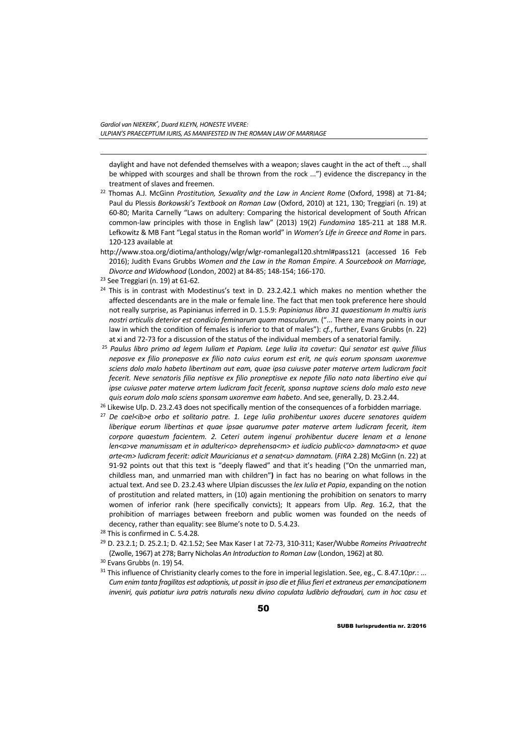daylight and have not defended themselves with a weapon; slaves caught in the act of theft ..., shall be whipped with scourges and shall be thrown from the rock ...") evidence the discrepancy in the treatment of slaves and freemen. 22 Thomas A.J. McGinn *Prostitution, Sexuality and the Law in Ancient Rome* (Oxford, 1998) at 71-84;

- Paul du Plessis *Borkowski's Textbook on Roman Law* (Oxford, 2010) at 121, 130; Treggiari (n. 19) at 60-80; Marita Carnelly "Laws on adultery: Comparing the historical development of South African common-law principles with those in English law" (2013) 19(2) *Fundamina* 185-211 at 188 M.R. Lefkowitz & MB Fant "Legal status in the Roman world" in *Women's Life in Greece and Rome* in pars. 120-123 available at
- http://www.stoa.org/diotima/anthology/wlgr/wlgr-romanlegal120.shtml#pass121 (accessed 16 Feb 2016); Judith Evans Grubbs *Women and the Law in the Roman Empire. A Sourcebook on Marriage, Divorce and Widowhood* (London, 2002) at 84-85; 148-154; 166-170. 23 See Treggiari (n. 19) at 61-62*.*
- 

 $\overline{a}$ 

- $24$  This is in contrast with Modestinus's text in D. 23.2.42.1 which makes no mention whether the affected descendants are in the male or female line. The fact that men took preference here should not really surprise, as Papinianus inferred in D. 1.5.9: *Papinianus libro 31 quaestionum In multis iuris nostri articulis deterior est condicio feminarum quam masculorum.* ("... There are many points in our law in which the condition of females is inferior to that of males"): *cf.*, further, Evans Grubbs (n. 22) at xi and 72-73 for a discussion of the status of the individual members of a senatorial family.
- <sup>25</sup> *Paulus libro primo ad legem Iuliam et Papiam. Lege Iulia ita cavetur: Qui senator est quive filius neposve ex filio proneposve ex filio nato cuius eorum est erit, ne quis eorum sponsam uxoremve sciens dolo malo habeto libertinam aut eam, quae ipsa cuiusve pater materve artem ludicram facit fecerit. Neve senatoris filia neptisve ex filio proneptisve ex nepote filio nato nata libertino eive qui ipse cuiusve pater materve artem ludicram facit fecerit, sponsa nuptave sciens dolo malo esto neve*  quis eorum dolo malo sciens sponsam uxoremve eam habeto. And see, generally, D. 23.2.44.<br><sup>26</sup> Likewise Ulp. D. 23.2.43 does not specifically mention of the consequences of a forbidden marriage.<br><sup>27</sup> De cael<ib>e orbo et s
- 
- *liberique eorum libertinas et quae ipsae quarumve pater materve artem ludicram fecerit, item corpore quaestum facientem. 2. Ceteri autem ingenui prohibentur ducere lenam et a lenone len<a>ve manumissam et in adulteri<o> deprehensa<m> et iudicio public<o> damnata<m> et quae arte<m> ludicram fecerit: adicit Mauricianus et a senat<u> damnatam.* (*FIRA* 2.28) McGinn (n. 22) at 91-92 points out that this text is "deeply flawed" and that it's heading ("On the unmarried man, childless man, and unmarried man with children"**)** in fact has no bearing on what follows in the actual text. And see D. 23.2.43 where Ulpian discusses the *lex Iulia et Papia*, expanding on the notion of prostitution and related matters, in (10) again mentioning the prohibition on senators to marry women of inferior rank (here specifically convicts); It appears from Ulp. *Reg.* 16.2, that the prohibition of marriages between freeborn and public women was founded on the needs of decency, rather than equality: see Blume's note to D. 5.4.23.<br><sup>28</sup> This is confirmed in C. 5.4.28.
- 
- 29 D. 23.2.1; D. 25.2.1; D. 42.1.52; See Max Kaser I at 72-73, 310-311; Kaser/Wubbe *Romeins Privaatrecht*  (Zwolle, 1967) at 278; Barry Nicholas *An Introduction to Roman Law* (London, 1962) at 80. 30 Evans Grubbs (n. 19) 54.
- 
- 31 This influence of Christianity clearly comes to the fore in imperial legislation. See, eg., C. 8.47.10*pr.*: ... *Cum enim tanta fragilitas est adoptionis, ut possit in ipso die et filius fieri et extraneus per emancipationem inveniri, quis patiatur iura patris naturalis nexu divino copulata ludibrio defraudari, cum in hoc casu et*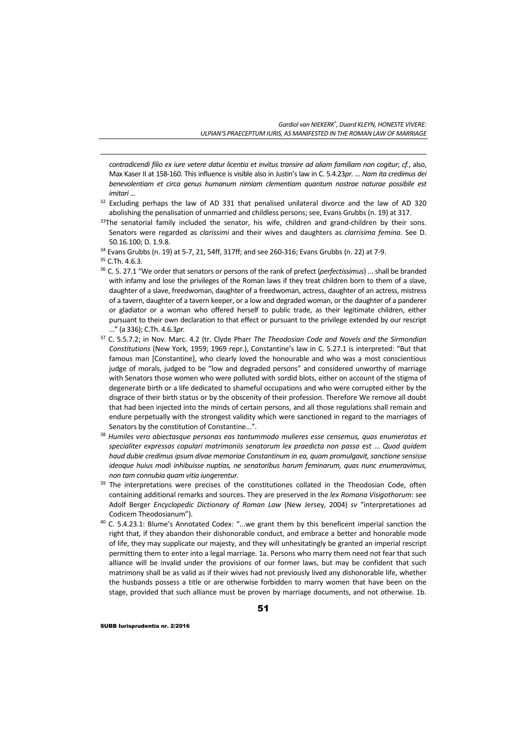*contradicendi filio ex iure vetere datur licentia et invitus transire ad aliam familiam non cogitur*; *cf.*, also, Max Kaser II at 158-160. This influence is visible also in Justin's law in C. 5.4.23*pr.* ... *Nam ita credimus dei benevolentiam et circa genus humanum nimiam clementiam quantum nostrae naturae possibile est* 

- *imitari* ...<br><sup>32</sup> Excluding perhaps the law of AD 331 that penalised unilateral divorce and the law of AD 320 abolishing the penalisation of unmarried and childless persons; see, Evans Grubbs (n. 19) at 317.  $33$ The senatorial family included the senator, his wife, children and grand-children by their sons.
- Senators were regarded as *clarissimi* and their wives and daughters as *clarrisima femina*. See D.

 $\overline{a}$ 

- 36 C. 5. 27.1 "We order that senators or persons of the rank of prefect (*perfectissimus*) ... shall be branded with infamy and lose the privileges of the Roman laws if they treat children born to them of a slave, daughter of a slave, freedwoman, daughter of a freedwoman, actress, daughter of an actress, mistress of a tavern, daughter of a tavern keeper, or a low and degraded woman, or the daughter of a panderer or gladiator or a woman who offered herself to public trade, as their legitimate children, either pursuant to their own declaration to that effect or pursuant to the privilege extended by our rescript ..." (a 336); C.Th. 4.6.3*pr.*
- 37 C. 5.5.7.2; in Nov. Marc. 4.2 (tr. Clyde Pharr *The Theodosian Code and Novels and the Sirmondian Constitutions* (New York, 1959; 1969 repr.), Constantine's law in C. 5.27.1 is interpreted: "But that famous man [Constantine], who clearly loved the honourable and who was a most conscientious judge of morals, judged to be "low and degraded persons" and considered unworthy of marriage with Senators those women who were polluted with sordid blots, either on account of the stigma of degenerate birth or a life dedicated to shameful occupations and who were corrupted either by the disgrace of their birth status or by the obscenity of their profession. Therefore We remove all doubt that had been injected into the minds of certain persons, and all those regulations shall remain and endure perpetually with the strongest validity which were sanctioned in regard to the marriages of Senators by the constitution of Constantine...". 38 *Humiles vero abiectasque personas eas tantummodo mulieres esse censemus, quas enumeratas et*
- *specialiter expressas copulari matrimoniis senatorum lex praedicta non passa est* ... *Quod quidem haud dubie credimus ipsum divae memoriae Constantinum in ea, quam promulgavit, sanctione sensisse ideoque huius modi inhibuisse nuptias, ne senatoribus harum feminarum, quas nunc enumeravimus, non tam connubia quam vitia iungerentur.*
- <sup>39</sup> The interpretations were precises of the constitutiones collated in the Theodosian Code, often containing additional remarks and sources. They are preserved in the *lex Romana Visigothorum*: see Adolf Berger *Encyclopedic Dictionary of Roman Law* (New Jersey, 2004) *sv* "interpretationes ad Codicem Theodosianum").<br><sup>40</sup> C. 5.4.23.1: Blume's Annotated Codex: "...we grant them by this beneficent imperial sanction the
- right that, if they abandon their dishonorable conduct, and embrace a better and honorable mode of life, they may supplicate our majesty, and they will unhesitatingly be granted an imperial rescript permitting them to enter into a legal marriage. 1a. Persons who marry them need not fear that such alliance will be invalid under the provisions of our former laws, but may be confident that such matrimony shall be as valid as if their wives had not previously lived any dishonorable life, whether the husbands possess a title or are otherwise forbidden to marry women that have been on the stage, provided that such alliance must be proven by marriage documents, and not otherwise. 1b.

<sup>50.16.100;</sup> D. 1.9.8. 34 Evans Grubbs (n. 19) at 5-7, 21, 54ff, 317ff; and see 260-316; Evans Grubbs (n. 22) at 7-9.

<sup>35</sup> C.Th. 4.6.3.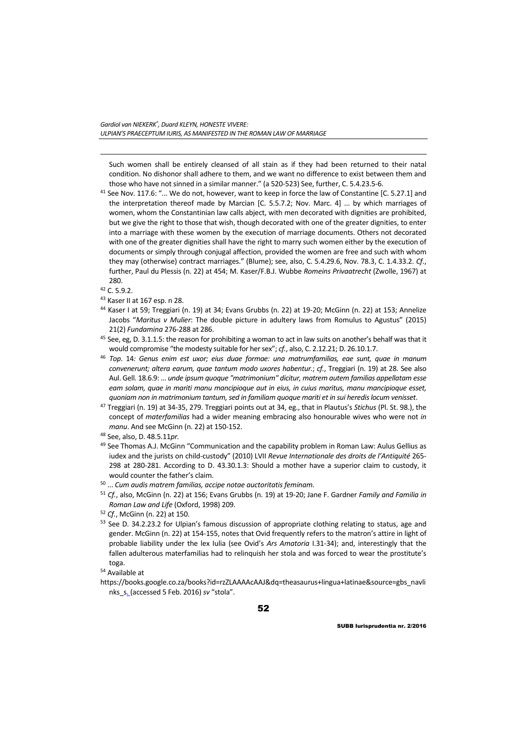Such women shall be entirely cleansed of all stain as if they had been returned to their natal condition. No dishonor shall adhere to them, and we want no difference to exist between them and those who have not sinned in a similar manner." (a 520-523) See, further, C. 5.4.23.5-6.<br><sup>41</sup> See Nov. 117.6: "... We do not, however, want to keep in force the law of Constantine [C. 5.27.1] and

- the interpretation thereof made by Marcian [C. 5.5.7.2; Nov. Marc. 4] ... by which marriages of women, whom the Constantinian law calls abject, with men decorated with dignities are prohibited, but we give the right to those that wish, though decorated with one of the greater dignities, to enter into a marriage with these women by the execution of marriage documents. Others not decorated with one of the greater dignities shall have the right to marry such women either by the execution of documents or simply through conjugal affection, provided the women are free and such with whom they may (otherwise) contract marriages." (Blume); see, also, C. 5.4.29.6, Nov. 78.3, C. 1.4.33.2. *Cf*., further, Paul du Plessis (n. 22) at 454; M. Kaser/F.B.J. Wubbe *Romeins Privaatrecht* (Zwolle, 1967) at 280.<br> $42$  C. 5.9.2.
- 

 $\overline{a}$ 

- 43 Kaser II at 167 esp. n 28.
- 44 Kaser I at 59; Treggiari (n. 19) at 34; Evans Grubbs (n. 22) at 19-20; McGinn (n. 22) at 153; Annelize Jacobs "*Maritus v Mulier*: The double picture in adultery laws from Romulus to Agustus" (2015)
- 21(2) *Fundamina* 276-288 at 286. 45 See, eg, D. 3.1.1.5: the reason for prohibiting a woman to act in law suits on another's behalf was that it
- would compromise "the modesty suitable for her sex"; *cf.*, also, C. 2.12.21; D. 26.10.1.7. 46 *Top*. 14*: Genus enim est uxor; eius duae formae: una matrumfamilias, eae sunt, quae in manum convenerunt; altera earum, quae tantum modo uxores habentur.*; *cf.*, Treggiari (n. 19) at 28. See also Aul. Gell. 18.6.9: ... *unde ipsum quoque "matrimonium" dicitur, matrem autem familias appellatam esse eam solam, quae in mariti manu mancipioque aut in eius, in cuius maritus, manu mancipioque esset,*  quoniam non in matrimonium tantum, sed in familiam quoque mariti et in sui heredis locum venisset.<br><sup>47</sup> Treggiari (n. 19) at 34-35, 279. Treggiari points out at 34, eg., that in Plautus's Stichus (Pl. St. 98.), the
- concept of *materfamilias* had a wider meaning embracing also honourable wives who were not *in manu*. And see McGinn (n. 22) at 150-152. 48 See, also, D. 48.5.11*pr.*
- 
- 49 See Thomas A.J. McGinn "Communication and the capability problem in Roman Law: Aulus Gellius as iudex and the jurists on child-custody" (2010) LVII *Revue Internationale des droits de l'Antiquité* 265- 298 at 280-281. According to D. 43.30.1.3: Should a mother have a superior claim to custody, it
- would counter the father's claim. 50 ... *Cum audis matrem familias, accipe notae auctoritatis feminam.*
- <sup>51</sup> *Cf.*, also, McGinn (n. 22) at 156; Evans Grubbs (n. 19) at 19-20; Jane F. Gardner *Family and Familia in Roman Law and Life* (Oxford, 1998) 209.<br><sup>52</sup> *Cf.*, McGinn (n. 22) at 150.<br><sup>53</sup> See D. 34.2.23.2 for Ulpian's famous discussion of appropriate clothing relating to status, age and

gender. McGinn (n. 22) at 154-155, notes that Ovid frequently refers to the matron's attire in light of probable liability under the lex Iulia (see Ovid's *Ars Amatoria* I.31-34); and, interestingly that the fallen adulterous materfamilias had to relinquish her stola and was forced to wear the prostitute's toga.<br><sup>54</sup> Available at

https://books.google.co.za/books?id=rzZLAAAAcAAJ&dq=theasaurus+lingua+latinae&source=gbs\_navli nks\_s. (accessed 5 Feb. 2016) *sv* "stola".